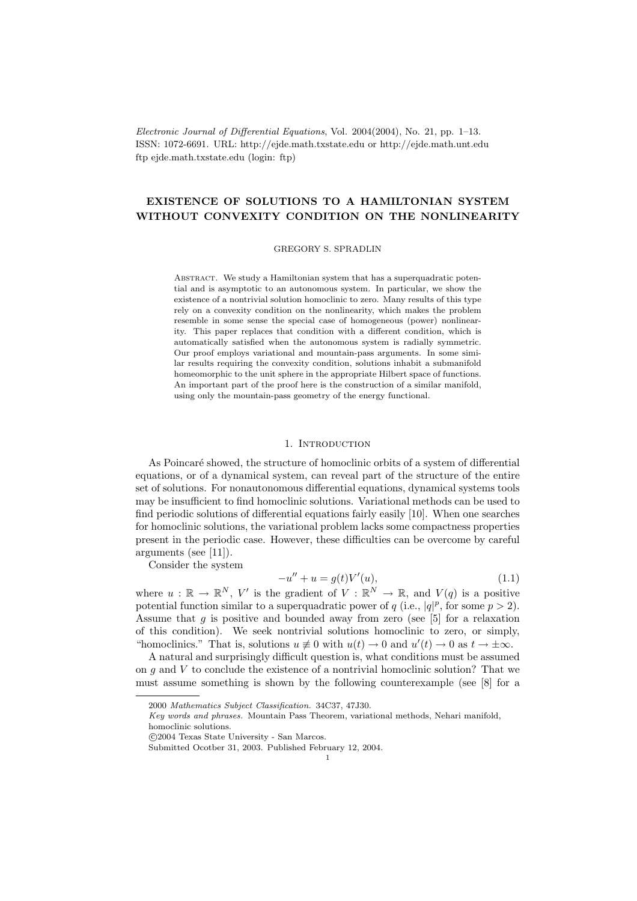Electronic Journal of Differential Equations, Vol. 2004(2004), No. 21, pp. 1–13. ISSN: 1072-6691. URL: http://ejde.math.txstate.edu or http://ejde.math.unt.edu ftp ejde.math.txstate.edu (login: ftp)

# EXISTENCE OF SOLUTIONS TO A HAMILTONIAN SYSTEM WITHOUT CONVEXITY CONDITION ON THE NONLINEARITY

### GREGORY S. SPRADLIN

ABSTRACT. We study a Hamiltonian system that has a superquadratic potential and is asymptotic to an autonomous system. In particular, we show the existence of a nontrivial solution homoclinic to zero. Many results of this type rely on a convexity condition on the nonlinearity, which makes the problem resemble in some sense the special case of homogeneous (power) nonlinearity. This paper replaces that condition with a different condition, which is automatically satisfied when the autonomous system is radially symmetric. Our proof employs variational and mountain-pass arguments. In some similar results requiring the convexity condition, solutions inhabit a submanifold homeomorphic to the unit sphere in the appropriate Hilbert space of functions. An important part of the proof here is the construction of a similar manifold, using only the mountain-pass geometry of the energy functional.

## 1. INTRODUCTION

As Poincaré showed, the structure of homoclinic orbits of a system of differential equations, or of a dynamical system, can reveal part of the structure of the entire set of solutions. For nonautonomous differential equations, dynamical systems tools may be insufficient to find homoclinic solutions. Variational methods can be used to find periodic solutions of differential equations fairly easily [10]. When one searches for homoclinic solutions, the variational problem lacks some compactness properties present in the periodic case. However, these difficulties can be overcome by careful arguments (see [11]).

Consider the system

$$
-u'' + u = g(t)V'(u),
$$
\n(1.1)

where  $u : \mathbb{R} \to \mathbb{R}^N$ , V' is the gradient of  $V : \mathbb{R}^N \to \mathbb{R}$ , and  $V(q)$  is a positive potential function similar to a superquadratic power of q (i.e.,  $|q|^p$ , for some  $p > 2$ ). Assume that q is positive and bounded away from zero (see  $[5]$  for a relaxation of this condition). We seek nontrivial solutions homoclinic to zero, or simply, "homoclinics." That is, solutions  $u \neq 0$  with  $u(t) \to 0$  and  $u'(t) \to 0$  as  $t \to \pm \infty$ .

A natural and surprisingly difficult question is, what conditions must be assumed on q and V to conclude the existence of a nontrivial homoclinic solution? That we must assume something is shown by the following counterexample (see [8] for a

c 2004 Texas State University - San Marcos.

<sup>2000</sup> Mathematics Subject Classification. 34C37, 47J30.

Key words and phrases. Mountain Pass Theorem, variational methods, Nehari manifold, homoclinic solutions.

Submitted Ocotber 31, 2003. Published February 12, 2004.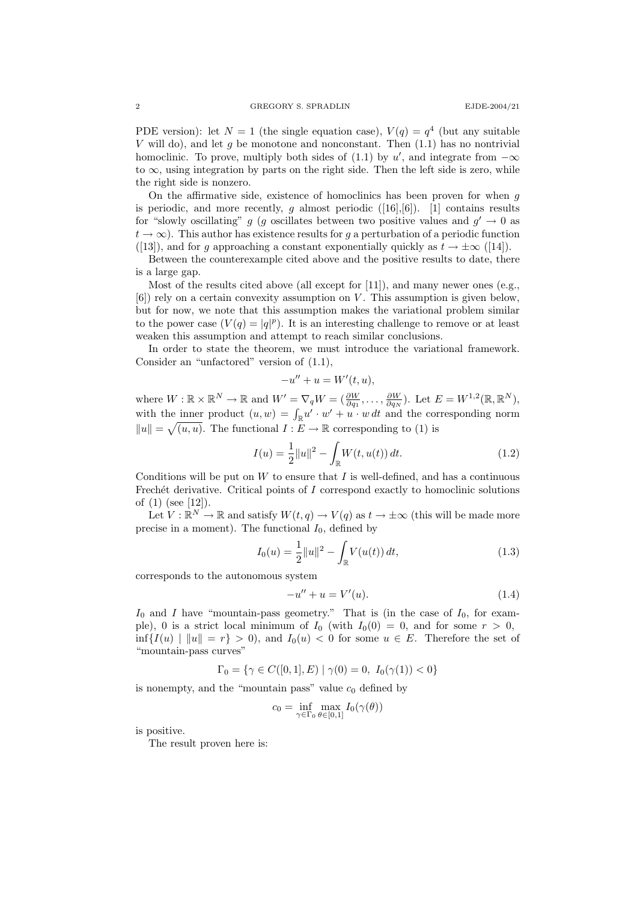PDE version): let  $N = 1$  (the single equation case),  $V(q) = q^4$  (but any suitable V will do), and let g be monotone and nonconstant. Then  $(1.1)$  has no nontrivial homoclinic. To prove, multiply both sides of (1.1) by u', and integrate from  $-\infty$ to  $\infty$ , using integration by parts on the right side. Then the left side is zero, while the right side is nonzero.

On the affirmative side, existence of homoclinics has been proven for when  $q$ is periodic, and more recently,  $g$  almost periodic ([16],[6]). [1] contains results for "slowly oscillating" g (g oscillates between two positive values and  $g' \to 0$  as  $t \to \infty$ ). This author has existence results for q a perturbation of a periodic function ([13]), and for g approaching a constant exponentially quickly as  $t \to \pm \infty$  ([14]).

Between the counterexample cited above and the positive results to date, there is a large gap.

Most of the results cited above (all except for [11]), and many newer ones (e.g.,  $[6]$ ) rely on a certain convexity assumption on V. This assumption is given below, but for now, we note that this assumption makes the variational problem similar to the power case  $(V(q) = |q|^p)$ . It is an interesting challenge to remove or at least weaken this assumption and attempt to reach similar conclusions.

In order to state the theorem, we must introduce the variational framework. Consider an "unfactored" version of (1.1),

$$
-u'' + u = W'(t, u),
$$

where  $W : \mathbb{R} \times \mathbb{R}^N \to \mathbb{R}$  and  $W' = \nabla_q W = (\frac{\partial W}{\partial q_1}, \dots, \frac{\partial W}{\partial q_N})$ . Let  $E = W^{1,2}(\mathbb{R}, \mathbb{R}^N)$ , with the inner product  $(u, w) = \int_{\mathbb{R}} u' \cdot w' + u \cdot w dt$  and the corresponding norm  $||u|| = \sqrt{(u, u)}$ . The functional  $I : E \to \mathbb{R}$  corresponding to (1) is

$$
I(u) = \frac{1}{2} ||u||^2 - \int_{\mathbb{R}} W(t, u(t)) dt.
$$
 (1.2)

Conditions will be put on  $W$  to ensure that  $I$  is well-defined, and has a continuous Frechét derivative. Critical points of  $I$  correspond exactly to homoclinic solutions of  $(1)$  (see [12]).

Let  $V : \mathbb{R}^N \to \mathbb{R}$  and satisfy  $W(t, q) \to V(q)$  as  $t \to \pm \infty$  (this will be made more precise in a moment). The functional  $I_0$ , defined by

$$
I_0(u) = \frac{1}{2} ||u||^2 - \int_{\mathbb{R}} V(u(t)) dt,
$$
\n(1.3)

corresponds to the autonomous system

$$
-u'' + u = V'(u). \tag{1.4}
$$

 $I_0$  and I have "mountain-pass geometry." That is (in the case of  $I_0$ , for example), 0 is a strict local minimum of  $I_0$  (with  $I_0(0) = 0$ , and for some  $r > 0$ ,  $\inf\{I(u) \mid ||u|| = r\} > 0$ , and  $I_0(u) < 0$  for some  $u \in E$ . Therefore the set of "mountain-pass curves"

$$
\Gamma_0 = \{ \gamma \in C([0,1], E) \mid \gamma(0) = 0, I_0(\gamma(1)) < 0 \}
$$

is nonempty, and the "mountain pass" value  $c_0$  defined by

$$
c_0 = \inf_{\gamma \in \Gamma_0} \max_{\theta \in [0,1]} I_0(\gamma(\theta))
$$

is positive.

The result proven here is: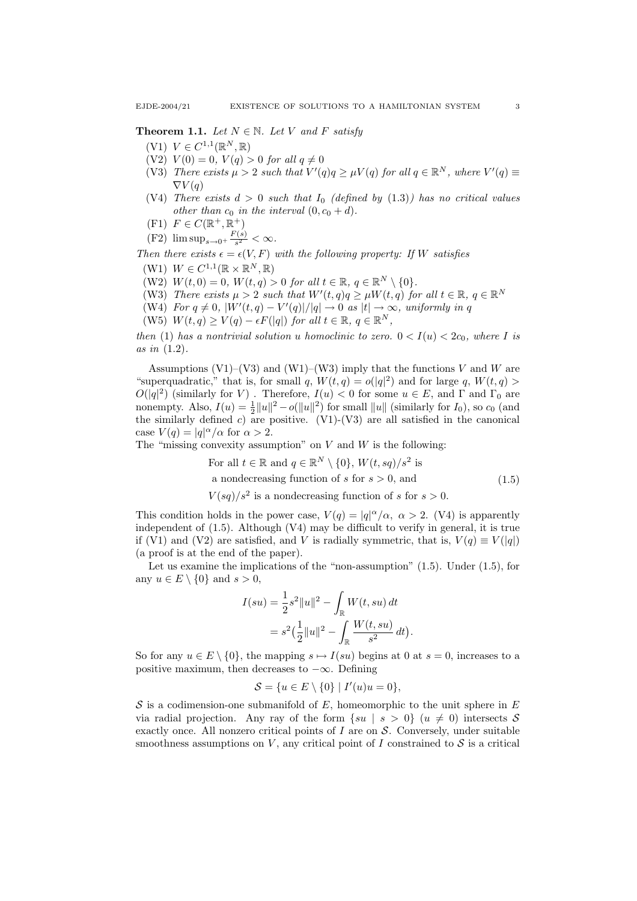**Theorem 1.1.** Let  $N \in \mathbb{N}$ . Let V and F satisfy

- (V1)  $V \in C^{1,1}(\mathbb{R}^N, \mathbb{R})$
- (V2)  $V(0) = 0$ ,  $V(q) > 0$  for all  $q \neq 0$
- (V3) There exists  $\mu > 2$  such that  $V'(q)q \geq \mu V(q)$  for all  $q \in \mathbb{R}^N$ , where  $V'(q) \equiv$  $\nabla V(q)$
- (V4) There exists  $d > 0$  such that  $I_0$  (defined by (1.3)) has no critical values other than  $c_0$  in the interval  $(0, c_0 + d)$ .
- $(F1)$   $F \in C(\mathbb{R}^+, \mathbb{R}^+)$
- $(F2)$  lim sup<sub> $s\rightarrow 0^+ \frac{F(s)}{s^2}$ </sub>  $\frac{(s)}{s^2} < \infty$ .

Then there exists  $\epsilon = \epsilon(V, F)$  with the following property: If W satisfies

- $(W1)$   $W \in C^{1,1}(\mathbb{R} \times \mathbb{R}^N, \mathbb{R})$
- (W2)  $W(t, 0) = 0$ ,  $W(t, q) > 0$  for all  $t \in \mathbb{R}$ ,  $q \in \mathbb{R}^N \setminus \{0\}.$
- (W3) There exists  $\mu > 2$  such that  $W'(t, q)q \ge \mu W(t, q)$  for all  $t \in \mathbb{R}$ ,  $q \in \mathbb{R}^N$
- (W4) For  $q \neq 0$ ,  $|W'(t,q) V'(q)|/|q| \rightarrow 0$  as  $|t| \rightarrow \infty$ , uniformly in q
- (W5)  $W(t,q) \geq V(q) \epsilon F(|q|)$  for all  $t \in \mathbb{R}, q \in \mathbb{R}^N$ ,

then (1) has a nontrivial solution u homoclinic to zero.  $0 < I(u) < 2c_0$ , where I is as in (1.2).

Assumptions (V1)–(V3) and (W1)–(W3) imply that the functions V and W are "superquadratic," that is, for small q,  $W(t,q) = o(|q|^2)$  and for large q,  $W(t,q) >$  $O(|q|^2)$  (similarly for V). Therefore,  $I(u) < 0$  for some  $u \in E$ , and  $\Gamma$  and  $\Gamma_0$  are nonempty. Also,  $I(u) = \frac{1}{2} ||u||^2 - o(||u||^2)$  for small  $||u||$  (similarly for  $I_0$ ), so  $c_0$  (and the similarly defined c) are positive. (V1)-(V3) are all satisfied in the canonical case  $V(q) = |q|^{\alpha}/\alpha$  for  $\alpha > 2$ .

The "missing convexity assumption" on  $V$  and  $W$  is the following:

For all 
$$
t \in \mathbb{R}
$$
 and  $q \in \mathbb{R}^N \setminus \{0\}$ ,  $W(t, sq)/s^2$  is  
a nondecreasing function of s for  $s > 0$ , and (1.5)

 $V(sq)/s^2$  is a nondecreasing function of s for  $s > 0$ .

This condition holds in the power case,  $V(q) = |q|^{\alpha}/\alpha$ ,  $\alpha > 2$ . (V4) is apparently independent of  $(1.5)$ . Although  $(V4)$  may be difficult to verify in general, it is true if (V1) and (V2) are satisfied, and V is radially symmetric, that is,  $V(q) \equiv V(|q|)$ (a proof is at the end of the paper).

Let us examine the implications of the "non-assumption" (1.5). Under (1.5), for any  $u \in E \setminus \{0\}$  and  $s > 0$ ,

$$
I(su) = \frac{1}{2}s^2||u||^2 - \int_{\mathbb{R}} W(t, su) dt
$$
  
=  $s^2(\frac{1}{2}||u||^2 - \int_{\mathbb{R}} \frac{W(t, su)}{s^2} dt).$ 

So for any  $u \in E \setminus \{0\}$ , the mapping  $s \mapsto I(su)$  begins at 0 at  $s = 0$ , increases to a positive maximum, then decreases to  $-\infty$ . Defining

$$
\mathcal{S} = \{u \in E \setminus \{0\} \mid I'(u)u = 0\},\
$$

S is a codimension-one submanifold of  $E$ , homeomorphic to the unit sphere in  $E$ via radial projection. Any ray of the form  $\{su \mid s > 0\}$   $(u \neq 0)$  intersects S exactly once. All nonzero critical points of  $I$  are on  $S$ . Conversely, under suitable smoothness assumptions on V, any critical point of I constrained to  $S$  is a critical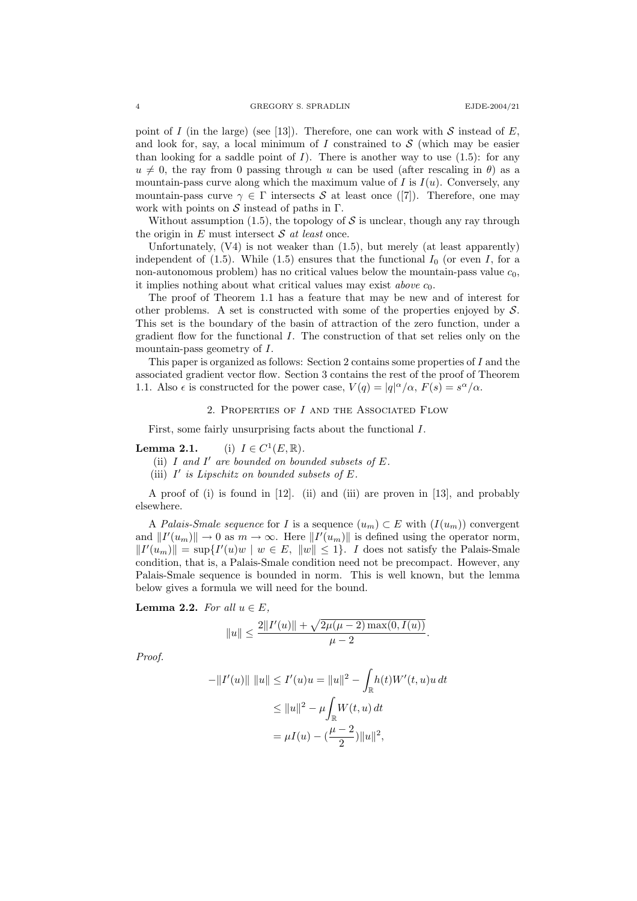point of I (in the large) (see [13]). Therefore, one can work with S instead of E, and look for, say, a local minimum of I constrained to  $S$  (which may be easier than looking for a saddle point of  $I$ ). There is another way to use  $(1.5)$ : for any  $u \neq 0$ , the ray from 0 passing through u can be used (after rescaling in  $\theta$ ) as a mountain-pass curve along which the maximum value of I is  $I(u)$ . Conversely, any mountain-pass curve  $\gamma \in \Gamma$  intersects S at least once ([7]). Therefore, one may work with points on  $S$  instead of paths in  $\Gamma$ .

Without assumption (1.5), the topology of  $S$  is unclear, though any ray through the origin in  $E$  must intersect  $S$  at least once.

Unfortunately,  $(V4)$  is not weaker than  $(1.5)$ , but merely  $(at \text{ least apparently})$ independent of (1.5). While (1.5) ensures that the functional  $I_0$  (or even I, for a non-autonomous problem) has no critical values below the mountain-pass value  $c_0$ , it implies nothing about what critical values may exist *above*  $c_0$ .

The proof of Theorem 1.1 has a feature that may be new and of interest for other problems. A set is constructed with some of the properties enjoyed by  $S$ . This set is the boundary of the basin of attraction of the zero function, under a gradient flow for the functional I. The construction of that set relies only on the mountain-pass geometry of I.

This paper is organized as follows: Section 2 contains some properties of I and the associated gradient vector flow. Section 3 contains the rest of the proof of Theorem 1.1. Also  $\epsilon$  is constructed for the power case,  $V(q) = |q|^{\alpha}/\alpha$ ,  $F(s) = s^{\alpha}/\alpha$ .

## 2. Properties of I and the Associated Flow

First, some fairly unsurprising facts about the functional I.

Lemma  $2.1$ .  $^1(E,\mathbb{R})$ .

(ii)  $I$  and  $I'$  are bounded on bounded subsets of  $E$ .

(iii)  $I'$  is Lipschitz on bounded subsets of  $E$ .

A proof of (i) is found in [12]. (ii) and (iii) are proven in [13], and probably elsewhere.

A Palais-Smale sequence for I is a sequence  $(u_m) \subset E$  with  $(I(u_m))$  convergent and  $||I'(u_m)|| \to 0$  as  $m \to \infty$ . Here  $||I'(u_m)||$  is defined using the operator norm,  $||I'(u_m)|| = \sup\{I'(u)w \mid w \in E, ||w|| \leq 1\}.$  I does not satisfy the Palais-Smale condition, that is, a Palais-Smale condition need not be precompact. However, any Palais-Smale sequence is bounded in norm. This is well known, but the lemma below gives a formula we will need for the bound.

Lemma 2.2. For all  $u \in E$ ,

$$
||u|| \le \frac{2||I'(u)|| + \sqrt{2\mu(\mu - 2)\max(0, I(u))}}{\mu - 2}.
$$

Proof.

$$
-\|I'(u)\| \|u\| \le I'(u)u = \|u\|^2 - \int_{\mathbb{R}} h(t)W'(t, u)u dt
$$
  

$$
\le \|u\|^2 - \mu \int_{\mathbb{R}} W(t, u) dt
$$
  

$$
= \mu I(u) - (\frac{\mu - 2}{2})\|u\|^2,
$$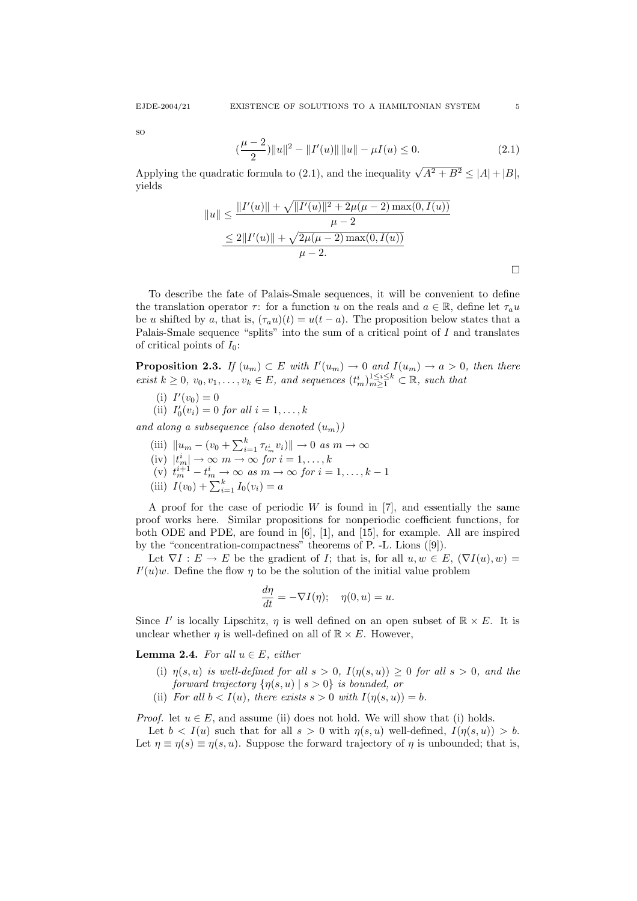so

$$
\left(\frac{\mu-2}{2}\right) \|u\|^2 - \|I'(u)\| \|u\| - \mu I(u) \le 0. \tag{2.1}
$$

Applying the quadratic formula to (2.1), and the inequality  $\sqrt{A^2 + B^2} \le |A| + |B|$ , yields

$$
||u|| \le \frac{||I'(u)|| + \sqrt{||I'(u)||^2 + 2\mu(\mu - 2) \max(0, I(u))}}{\mu - 2}
$$
  

$$
\le 2||I'(u)|| + \sqrt{2\mu(\mu - 2) \max(0, I(u))}
$$
  

$$
\mu - 2.
$$

To describe the fate of Palais-Smale sequences, it will be convenient to define the translation operator  $\tau$ : for a function u on the reals and  $a \in \mathbb{R}$ , define let  $\tau_a u$ be u shifted by a, that is,  $(\tau_a u)(t) = u(t - a)$ . The proposition below states that a Palais-Smale sequence "splits" into the sum of a critical point of I and translates of critical points of  $I_0$ :

**Proposition 2.3.** If  $(u_m) \subset E$  with  $I'(u_m) \to 0$  and  $I(u_m) \to a > 0$ , then there exist  $k \geq 0$ ,  $v_0, v_1, \ldots, v_k \in E$ , and sequences  $(t_m^i)_{m \geq 1}^{1 \leq i \leq k} \subset \mathbb{R}$ , such that

(i)  $I'(v_0) = 0$ 

(ii)  $I'_0(v_i) = 0$  for all  $i = 1, ..., k$ 

and along a subsequence (also denoted  $(u_m)$ )

- (iii)  $||u_m (v_0 + \sum_{i=1}^k \tau_{t_m}^i v_i)|| \to 0 \text{ as } m \to \infty$
- (iv)  $|t_m^i| \to \infty$   $m \to \infty$  for  $i = 1, ..., k$
- (v)  $t_m^{i+1} t_m^i \rightarrow \infty$  as  $m \rightarrow \infty$  for  $i = 1, ..., k 1$
- (iii)  $I(v_0) + \sum_{i=1}^{k} I_0(v_i) = a$

A proof for the case of periodic  $W$  is found in [7], and essentially the same proof works here. Similar propositions for nonperiodic coefficient functions, for both ODE and PDE, are found in [6], [1], and [15], for example. All are inspired by the "concentration-compactness" theorems of P. -L. Lions ([9]).

Let  $\nabla I : E \to E$  be the gradient of I; that is, for all  $u, w \in E$ ,  $(\nabla I(u), w) =$  $I'(u)w$ . Define the flow  $\eta$  to be the solution of the initial value problem

$$
\frac{d\eta}{dt} = -\nabla I(\eta); \quad \eta(0, u) = u.
$$

Since I' is locally Lipschitz,  $\eta$  is well defined on an open subset of  $\mathbb{R} \times E$ . It is unclear whether  $\eta$  is well-defined on all of  $\mathbb{R} \times E$ . However,

**Lemma 2.4.** For all  $u \in E$ , either

- (i)  $\eta(s, u)$  is well-defined for all  $s > 0$ ,  $I(\eta(s, u)) \geq 0$  for all  $s > 0$ , and the forward trajectory  $\{\eta(s, u) \mid s > 0\}$  is bounded, or
- (ii) For all  $b < I(u)$ , there exists  $s > 0$  with  $I(\eta(s, u)) = b$ .

*Proof.* let  $u \in E$ , and assume (ii) does not hold. We will show that (i) holds.

Let  $b < I(u)$  such that for all  $s > 0$  with  $\eta(s, u)$  well-defined,  $I(\eta(s, u)) > b$ . Let  $\eta \equiv \eta(s) \equiv \eta(s, u)$ . Suppose the forward trajectory of  $\eta$  is unbounded; that is,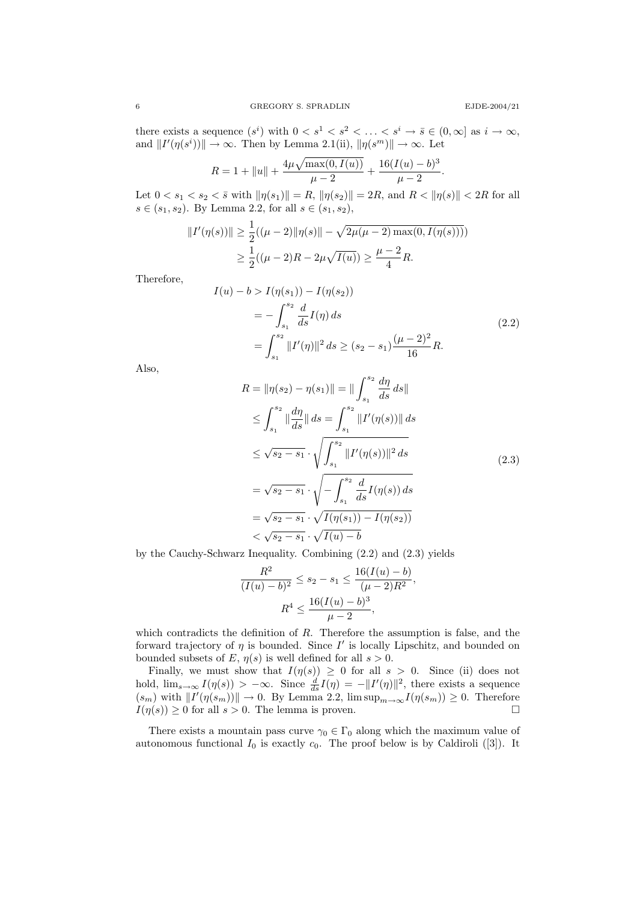there exists a sequence  $(s^i)$  with  $0 < s^1 < s^2 < \ldots < s^i \to \bar{s} \in (0, \infty]$  as  $i \to \infty$ , and  $||I'(\eta(s^i))|| \to \infty$ . Then by Lemma 2.1(ii),  $||\eta(s^m)|| \to \infty$ . Let

$$
R = 1 + ||u|| + \frac{4\mu\sqrt{\max(0, I(u))}}{\mu - 2} + \frac{16(I(u) - b)^3}{\mu - 2}.
$$

Let  $0 < s_1 < s_2 < \bar{s}$  with  $\|\eta(s_1)\| = R$ ,  $\|\eta(s_2)\| = 2R$ , and  $R < \|\eta(s)\| < 2R$  for all  $s \in (s_1, s_2)$ . By Lemma 2.2, for all  $s \in (s_1, s_2)$ ,

$$
||I'(\eta(s))|| \ge \frac{1}{2}((\mu - 2)||\eta(s)|| - \sqrt{2\mu(\mu - 2)\max(0, I(\eta(s))))}
$$
  

$$
\ge \frac{1}{2}((\mu - 2)R - 2\mu\sqrt{I(u)}) \ge \frac{\mu - 2}{4}R.
$$

Therefore,

$$
I(u) - b > I(\eta(s_1)) - I(\eta(s_2))
$$
  
=  $-\int_{s_1}^{s_2} \frac{d}{ds} I(\eta) ds$   
=  $\int_{s_1}^{s_2} ||I'(\eta)||^2 ds \ge (s_2 - s_1) \frac{(\mu - 2)^2}{16} R.$  (2.2)

Also,

$$
R = \|\eta(s_2) - \eta(s_1)\| = \|\int_{s_1}^{s_2} \frac{d\eta}{ds} ds\|
$$
  
\n
$$
\leq \int_{s_1}^{s_2} \|\frac{d\eta}{ds}\| ds = \int_{s_1}^{s_2} \|I'(\eta(s))\| ds
$$
  
\n
$$
\leq \sqrt{s_2 - s_1} \cdot \sqrt{\int_{s_1}^{s_2} \|I'(\eta(s))\|^2 ds}
$$
  
\n
$$
= \sqrt{s_2 - s_1} \cdot \sqrt{-\int_{s_1}^{s_2} \frac{d}{ds} I(\eta(s)) ds}
$$
  
\n
$$
= \sqrt{s_2 - s_1} \cdot \sqrt{I(\eta(s_1)) - I(\eta(s_2))}
$$
  
\n
$$
< \sqrt{s_2 - s_1} \cdot \sqrt{I(\eta(s_1)) - I(\eta(s_2))}
$$

by the Cauchy-Schwarz Inequality. Combining (2.2) and (2.3) yields

$$
\frac{R^2}{(I(u)-b)^2} \le s_2 - s_1 \le \frac{16(I(u)-b)}{(\mu-2)R^2},
$$

$$
R^4 \le \frac{16(I(u)-b)^3}{\mu-2},
$$

which contradicts the definition of  $R$ . Therefore the assumption is false, and the forward trajectory of  $\eta$  is bounded. Since  $I'$  is locally Lipschitz, and bounded on bounded subsets of E,  $\eta(s)$  is well defined for all  $s > 0$ .

Finally, we must show that  $I(\eta(s)) \geq 0$  for all  $s > 0$ . Since (ii) does not hold,  $\lim_{s\to\infty} I(\eta(s)) > -\infty$ . Since  $\frac{d}{ds}I(\eta) = -||I'(\eta)||^2$ , there exists a sequence  $(s_m)$  with  $||I'(\eta(s_m))|| \to 0$ . By Lemma 2.2,  $\limsup_{m\to\infty}I(\eta(s_m)) \geq 0$ . Therefore  $I(\eta(s)) \geq 0$  for all  $s > 0$ . The lemma is proven.

There exists a mountain pass curve  $\gamma_0 \in \Gamma_0$  along which the maximum value of autonomous functional  $I_0$  is exactly  $c_0$ . The proof below is by Caldiroli ([3]). It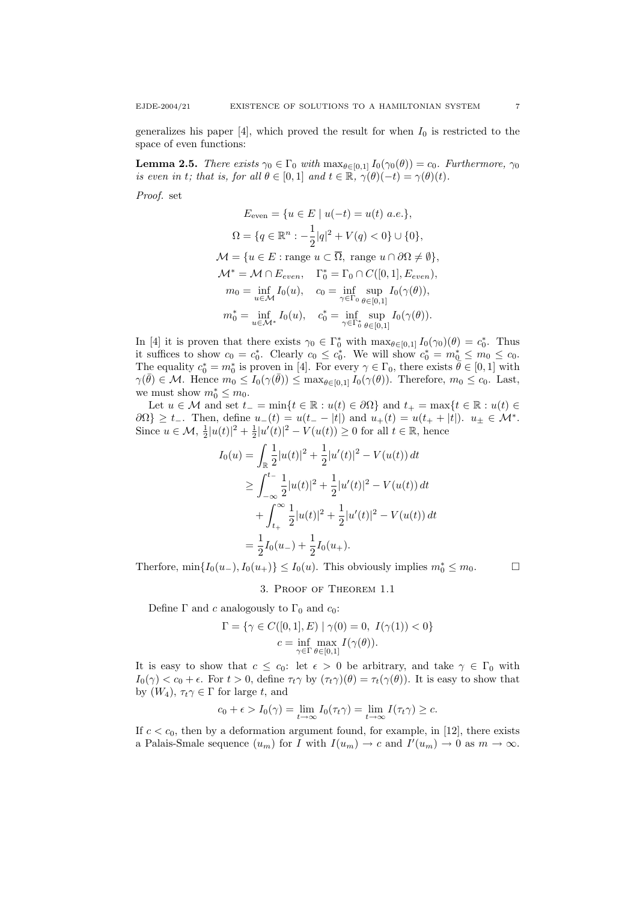generalizes his paper  $[4]$ , which proved the result for when  $I_0$  is restricted to the space of even functions:

**Lemma 2.5.** There exists  $\gamma_0 \in \Gamma_0$  with  $\max_{\theta \in [0,1]} I_0(\gamma_0(\theta)) = c_0$ . Furthermore,  $\gamma_0$ is even in t; that is, for all  $\theta \in [0,1]$  and  $t \in \mathbb{R}$ ,  $\gamma(\theta)(-t) = \gamma(\theta)(t)$ .

Proof. set

$$
E_{\text{even}} = \{u \in E \mid u(-t) = u(t) \ a.e.\},
$$
  
\n
$$
\Omega = \{q \in \mathbb{R}^n : -\frac{1}{2}|q|^2 + V(q) < 0\} \cup \{0\},
$$
  
\n
$$
\mathcal{M} = \{u \in E : \text{range } u \subset \overline{\Omega}, \text{ range } u \cap \partial \Omega \neq \emptyset\},
$$
  
\n
$$
\mathcal{M}^* = \mathcal{M} \cap E_{even}, \quad \Gamma_0^* = \Gamma_0 \cap C([0, 1], E_{even}),
$$
  
\n
$$
m_0 = \inf_{u \in \mathcal{M}} I_0(u), \quad c_0 = \inf_{\gamma \in \Gamma_0} \sup_{\theta \in [0, 1]} I_0(\gamma(\theta)),
$$
  
\n
$$
m_0^* = \inf_{u \in \mathcal{M}^*} I_0(u), \quad c_0^* = \inf_{\gamma \in \Gamma_0^*} \sup_{\theta \in [0, 1]} I_0(\gamma(\theta)).
$$

In [4] it is proven that there exists  $\gamma_0 \in \Gamma_0^*$  with  $\max_{\theta \in [0,1]} I_0(\gamma_0)(\theta) = c_0^*$ . Thus it suffices to show  $c_0 = c_0^*$ . Clearly  $c_0 \leq c_0^*$ . We will show  $c_0^* = m_0^* \leq m_0 \leq c_0$ . The equality  $c_0^* = m_0^*$  is proven in [4]. For every  $\gamma \in \Gamma_0$ , there exists  $\theta \in [0, 1]$  with  $\gamma(\bar{\theta}) \in \mathcal{M}$ . Hence  $m_0 \leq I_0(\gamma(\bar{\theta})) \leq \max_{\theta \in [0,1]} I_0(\gamma(\theta))$ . Therefore,  $m_0 \leq c_0$ . Last, we must show  $m_0^* \leq m_0$ .

Let  $u \in \mathcal{M}$  and set  $t_{-} = \min\{t \in \mathbb{R} : u(t) \in \partial\Omega\}$  and  $t_{+} = \max\{t \in \mathbb{R} : u(t) \in \partial\Omega\}$  $\partial\Omega$ } ≥ t\_. Then, define  $u_-(t) = u(t_- - |t|)$  and  $u_+(t) = u(t_+ + |t|)$ .  $u_{\pm} \in \mathcal{M}^*$ . Since  $u \in \mathcal{M}$ ,  $\frac{1}{2}|u(t)|^2 + \frac{1}{2}|u'(t)|^2 - V(u(t)) \ge 0$  for all  $t \in \mathbb{R}$ , hence

$$
I_0(u) = \int_{\mathbb{R}} \frac{1}{2} |u(t)|^2 + \frac{1}{2} |u'(t)|^2 - V(u(t)) dt
$$
  
\n
$$
\geq \int_{-\infty}^{t-} \frac{1}{2} |u(t)|^2 + \frac{1}{2} |u'(t)|^2 - V(u(t)) dt
$$
  
\n
$$
+ \int_{t+}^{\infty} \frac{1}{2} |u(t)|^2 + \frac{1}{2} |u'(t)|^2 - V(u(t)) dt
$$
  
\n
$$
= \frac{1}{2} I_0(u_-) + \frac{1}{2} I_0(u_+).
$$

Therfore,  $\min\{I_0(u_-,), I_0(u_+)\}\leq I_0(u)$ . This obviously implies  $m_0^* \leq m_0$ .

3. Proof of Theorem 1.1

Define  $\Gamma$  and c analogously to  $\Gamma_0$  and  $c_0$ :

$$
\Gamma = \{ \gamma \in C([0, 1], E) \mid \gamma(0) = 0, I(\gamma(1)) < 0 \}
$$
  

$$
c = \inf_{\gamma \in \Gamma} \max_{\theta \in [0, 1]} I(\gamma(\theta)).
$$

It is easy to show that  $c \leq c_0$ : let  $\epsilon > 0$  be arbitrary, and take  $\gamma \in \Gamma_0$  with  $I_0(\gamma) < c_0 + \epsilon$ . For  $t > 0$ , define  $\tau_t \gamma$  by  $(\tau_t \gamma)(\theta) = \tau_t(\gamma(\theta))$ . It is easy to show that by  $(W_4)$ ,  $\tau_t \gamma \in \Gamma$  for large t, and

$$
c_0 + \epsilon > I_0(\gamma) = \lim_{t \to \infty} I_0(\tau_t \gamma) = \lim_{t \to \infty} I(\tau_t \gamma) \geq c.
$$

If  $c < c_0$ , then by a deformation argument found, for example, in [12], there exists a Palais-Smale sequence  $(u_m)$  for I with  $I(u_m) \to c$  and  $I'(u_m) \to 0$  as  $m \to \infty$ .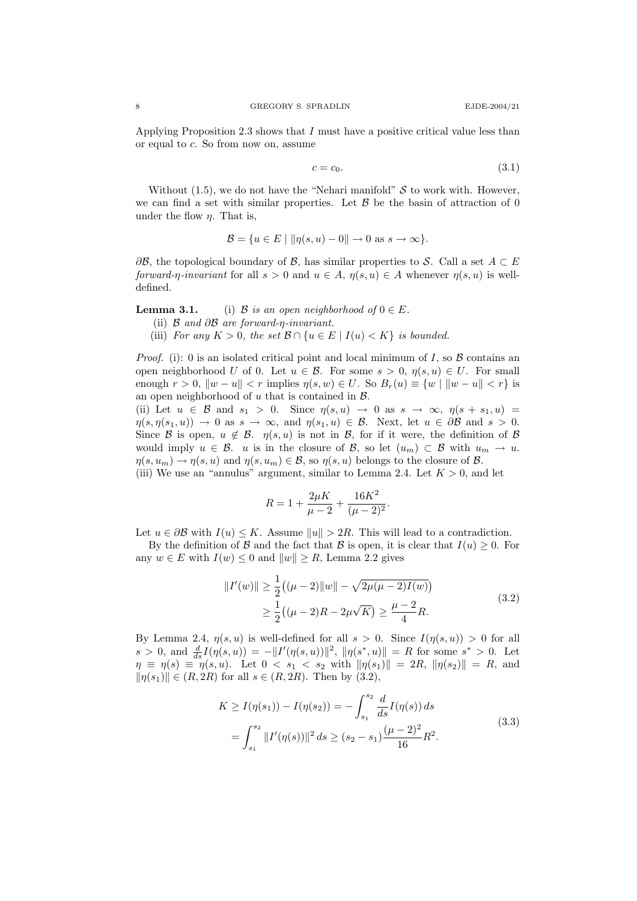Applying Proposition 2.3 shows that I must have a positive critical value less than or equal to c. So from now on, assume

$$
c = c_0. \tag{3.1}
$$

Without  $(1.5)$ , we do not have the "Nehari manifold" S to work with. However, we can find a set with similar properties. Let  $\beta$  be the basin of attraction of 0 under the flow  $\eta$ . That is,

$$
\mathcal{B} = \{ u \in E \mid \|\eta(s, u) - 0\| \to 0 \text{ as } s \to \infty \}.
$$

 $\partial \mathcal{B}$ , the topological boundary of  $\mathcal{B}$ , has similar properties to S. Call a set  $A \subset E$ forward-η-invariant for all  $s > 0$  and  $u \in A$ ,  $\eta(s, u) \in A$  whenever  $\eta(s, u)$  is welldefined.

**Lemma 3.1.** (i) B is an open neighborhood of  $0 \in E$ .

- (ii) B and ∂B are forward-η-invariant.
- (iii) For any  $K > 0$ , the set  $\mathcal{B} \cap \{u \in E \mid I(u) < K\}$  is bounded.

*Proof.* (i): 0 is an isolated critical point and local minimum of I, so  $\beta$  contains an open neighborhood U of 0. Let  $u \in \mathcal{B}$ . For some  $s > 0$ ,  $\eta(s, u) \in U$ . For small enough  $r > 0$ ,  $\|w - u\| < r$  implies  $\eta(s, w) \in U$ . So  $B_r(u) \equiv \{w \mid \|w - u\| < r\}$  is an open neighborhood of  $u$  that is contained in  $\mathcal{B}$ .

(ii) Let  $u \in \mathcal{B}$  and  $s_1 > 0$ . Since  $\eta(s, u) \to 0$  as  $s \to \infty$ ,  $\eta(s + s_1, u) =$  $\eta(s, \eta(s_1, u)) \to 0$  as  $s \to \infty$ , and  $\eta(s_1, u) \in \mathcal{B}$ . Next, let  $u \in \partial \mathcal{B}$  and  $s > 0$ . Since B is open,  $u \notin \mathcal{B}$ .  $\eta(s, u)$  is not in B, for if it were, the definition of B would imply  $u \in \mathcal{B}$ . u is in the closure of  $\mathcal{B}$ , so let  $(u_m) \subset \mathcal{B}$  with  $u_m \to u$ .  $\eta(s, u_m) \to \eta(s, u)$  and  $\eta(s, u_m) \in \mathcal{B}$ , so  $\eta(s, u)$  belongs to the closure of  $\mathcal{B}$ .

(iii) We use an "annulus" argument, similar to Lemma 2.4. Let  $K > 0$ , and let

$$
R = 1 + \frac{2\mu K}{\mu - 2} + \frac{16K^2}{(\mu - 2)^2}.
$$

Let  $u \in \partial \mathcal{B}$  with  $I(u) \leq K$ . Assume  $||u|| > 2R$ . This will lead to a contradiction.

By the definition of B and the fact that B is open, it is clear that  $I(u) \geq 0$ . For any  $w \in E$  with  $I(w) \leq 0$  and  $||w|| \geq R$ , Lemma 2.2 gives

$$
||I'(w)|| \ge \frac{1}{2}((\mu - 2)||w|| - \sqrt{2\mu(\mu - 2)I(w)})
$$
  
 
$$
\ge \frac{1}{2}((\mu - 2)R - 2\mu\sqrt{K}) \ge \frac{\mu - 2}{4}R.
$$
 (3.2)

By Lemma 2.4,  $\eta(s, u)$  is well-defined for all  $s > 0$ . Since  $I(\eta(s, u)) > 0$  for all  $s > 0$ , and  $\frac{d}{ds}I(\eta(s, u)) = -||I'(\eta(s, u))||^2$ ,  $||\eta(s^*, u)|| = R$  for some  $s^* > 0$ . Let  $\eta \equiv \eta(s) \equiv \eta(s, u)$ . Let  $0 < s_1 < s_2$  with  $\|\eta(s_1)\| = 2R$ ,  $\|\eta(s_2)\| = R$ , and  $\|\eta(s_1)\| \in (R, 2R)$  for all  $s \in (R, 2R)$ . Then by (3.2),

$$
K \ge I(\eta(s_1)) - I(\eta(s_2)) = -\int_{s_1}^{s_2} \frac{d}{ds} I(\eta(s)) ds
$$
  
= 
$$
\int_{s_1}^{s_2} ||I'(\eta(s))||^2 ds \ge (s_2 - s_1) \frac{(\mu - 2)^2}{16} R^2.
$$
 (3.3)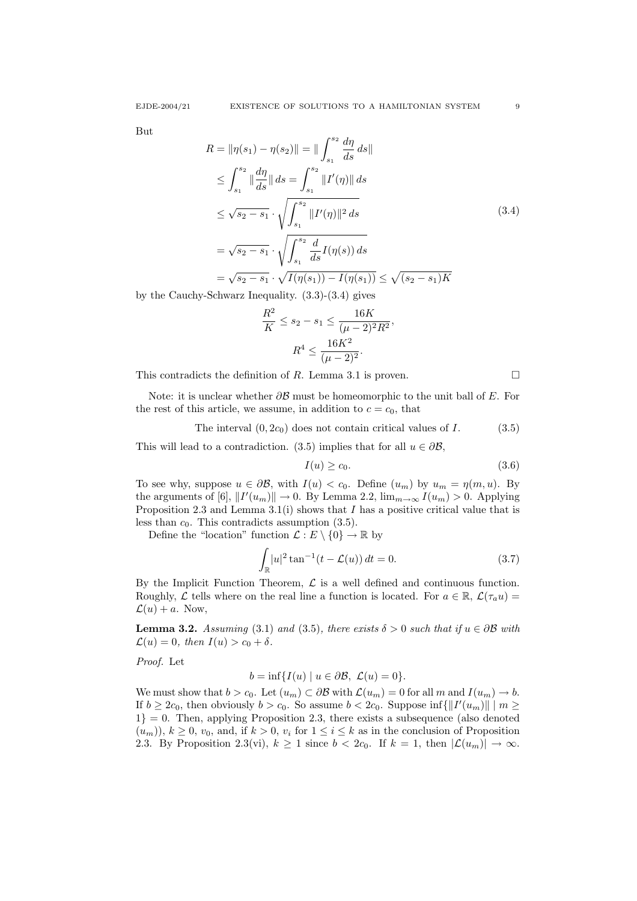But

$$
R = \|\eta(s_1) - \eta(s_2)\| = \|\int_{s_1}^{s_2} \frac{d\eta}{ds} ds\|
$$
  
\n
$$
\leq \int_{s_1}^{s_2} \|\frac{d\eta}{ds}\| ds = \int_{s_1}^{s_2} \|I'(\eta)\| ds
$$
  
\n
$$
\leq \sqrt{s_2 - s_1} \cdot \sqrt{\int_{s_1}^{s_2} \|I'(\eta)\|^2 ds}
$$
  
\n
$$
= \sqrt{s_2 - s_1} \cdot \sqrt{\int_{s_1}^{s_2} \frac{d}{ds} I(\eta(s)) ds}
$$
  
\n
$$
= \sqrt{s_2 - s_1} \cdot \sqrt{I(\eta(s_1)) - I(\eta(s_1))} \leq \sqrt{(s_2 - s_1)K}
$$
  
\nSchurone Inequality (2.2), (2.4), gives

by the Cauchy-Schwarz Inequality. (3.3)-(3.4) gives

$$
\frac{R^2}{K} \le s_2 - s_1 \le \frac{16K}{(\mu - 2)^2 R^2},
$$

$$
R^4 \le \frac{16K^2}{(\mu - 2)^2}.
$$

This contradicts the definition of R. Lemma 3.1 is proven.  $\square$ 

Note: it is unclear whether  $\partial \mathcal{B}$  must be homeomorphic to the unit ball of E. For the rest of this article, we assume, in addition to  $c = c_0$ , that

The interval  $(0, 2c_0)$  does not contain critical values of I. (3.5)

This will lead to a contradiction. (3.5) implies that for all  $u \in \partial \mathcal{B}$ ,

$$
I(u) \ge c_0. \tag{3.6}
$$

To see why, suppose  $u \in \partial \mathcal{B}$ , with  $I(u) < c_0$ . Define  $(u_m)$  by  $u_m = \eta(m, u)$ . By the arguments of [6],  $||I'(u_m)|| \to 0$ . By Lemma 2.2,  $\lim_{m \to \infty} I(u_m) > 0$ . Applying Proposition 2.3 and Lemma 3.1(i) shows that I has a positive critical value that is less than  $c_0$ . This contradicts assumption (3.5).

Define the "location" function  $\mathcal{L}: E \setminus \{0\} \to \mathbb{R}$  by

$$
\int_{\mathbb{R}} |u|^2 \tan^{-1}(t - \mathcal{L}(u)) dt = 0.
$$
 (3.7)

By the Implicit Function Theorem,  $\mathcal L$  is a well defined and continuous function. Roughly,  $\mathcal L$  tells where on the real line a function is located. For  $a \in \mathbb{R}$ ,  $\mathcal L(\tau_a u)$  $\mathcal{L}(u) + a$ . Now,

**Lemma 3.2.** Assuming (3.1) and (3.5), there exists  $\delta > 0$  such that if  $u \in \partial \mathcal{B}$  with  $\mathcal{L}(u) = 0$ , then  $I(u) > c_0 + \delta$ .

Proof. Let

$$
b = \inf\{I(u) \mid u \in \partial \mathcal{B}, \mathcal{L}(u) = 0\}.
$$

We must show that  $b > c_0$ . Let  $(u_m) \subset \partial \mathcal{B}$  with  $\mathcal{L}(u_m) = 0$  for all m and  $I(u_m) \to b$ . If  $b \ge 2c_0$ , then obviously  $b > c_0$ . So assume  $b < 2c_0$ . Suppose inf{ $||I'(u_m)|| \mid m \ge$  $1$ } = 0. Then, applying Proposition 2.3, there exists a subsequence (also denoted  $(u_m)$ ,  $k \geq 0$ ,  $v_0$ , and, if  $k > 0$ ,  $v_i$  for  $1 \leq i \leq k$  as in the conclusion of Proposition 2.3. By Proposition 2.3(vi),  $k \ge 1$  since  $b < 2c_0$ . If  $k = 1$ , then  $|\mathcal{L}(u_m)| \to \infty$ .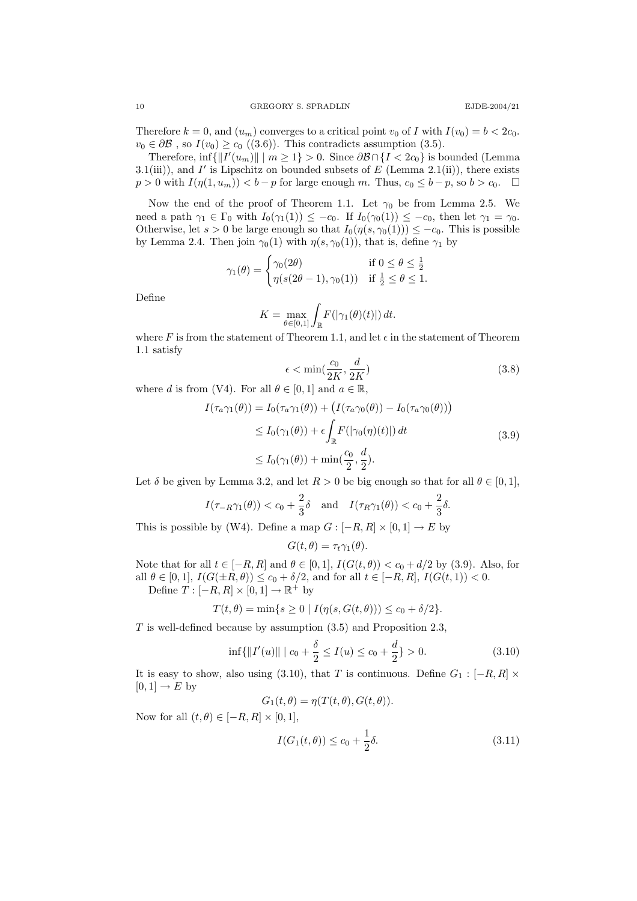Therefore  $k = 0$ , and  $(u_m)$  converges to a critical point  $v_0$  of I with  $I(v_0) = b < 2c_0$ .  $v_0 \in \partial \mathcal{B}$ , so  $I(v_0) \geq c_0$  ((3.6)). This contradicts assumption (3.5).

Therefore,  $\inf \{ ||I'(u_m)|| \mid m \geq 1 \} > 0$ . Since  $\partial \mathcal{B} \cap \{I < 2c_0\}$  is bounded (Lemma 3.1(iii)), and  $I'$  is Lipschitz on bounded subsets of  $E$  (Lemma 2.1(ii)), there exists  $p > 0$  with  $I(\eta(1, u_m)) < b - p$  for large enough m. Thus,  $c_0 \leq b - p$ , so  $b > c_0$ .

Now the end of the proof of Theorem 1.1. Let  $\gamma_0$  be from Lemma 2.5. We need a path  $\gamma_1 \in \Gamma_0$  with  $I_0(\gamma_1(1)) \leq -c_0$ . If  $I_0(\gamma_0(1)) \leq -c_0$ , then let  $\gamma_1 = \gamma_0$ . Otherwise, let  $s > 0$  be large enough so that  $I_0(\eta(s, \gamma_0(1))) \leq -c_0$ . This is possible by Lemma 2.4. Then join  $\gamma_0(1)$  with  $\eta(s, \gamma_0(1))$ , that is, define  $\gamma_1$  by

$$
\gamma_1(\theta) = \begin{cases} \gamma_0(2\theta) & \text{if } 0 \le \theta \le \frac{1}{2} \\ \eta(s(2\theta - 1), \gamma_0(1)) & \text{if } \frac{1}{2} \le \theta \le 1. \end{cases}
$$

Define

$$
K = \max_{\theta \in [0,1]} \int_{\mathbb{R}} F(|\gamma_1(\theta)(t)|) dt.
$$

where F is from the statement of Theorem 1.1, and let  $\epsilon$  in the statement of Theorem 1.1 satisfy

$$
\epsilon < \min(\frac{c_0}{2K}, \frac{d}{2K})\tag{3.8}
$$

where d is from (V4). For all  $\theta \in [0,1]$  and  $a \in \mathbb{R}$ ,

$$
I(\tau_a \gamma_1(\theta)) = I_0(\tau_a \gamma_1(\theta)) + \left(I(\tau_a \gamma_0(\theta)) - I_0(\tau_a \gamma_0(\theta))\right)
$$
  
\n
$$
\leq I_0(\gamma_1(\theta)) + \epsilon \int_{\mathbb{R}} F(|\gamma_0(\eta)(t)|) dt
$$
  
\n
$$
\leq I_0(\gamma_1(\theta)) + \min(\frac{c_0}{2}, \frac{d}{2}).
$$
\n(3.9)

Let  $\delta$  be given by Lemma 3.2, and let  $R > 0$  be big enough so that for all  $\theta \in [0,1]$ ,

$$
I(\tau_{-R}\gamma_1(\theta)) < c_0 + \frac{2}{3}\delta
$$
 and  $I(\tau_R\gamma_1(\theta)) < c_0 + \frac{2}{3}\delta$ .

This is possible by (W4). Define a map  $G : [-R, R] \times [0, 1] \rightarrow E$  by

$$
G(t, \theta) = \tau_t \gamma_1(\theta).
$$

Note that for all  $t \in [-R, R]$  and  $\theta \in [0, 1]$ ,  $I(G(t, \theta)) < c_0 + d/2$  by (3.9). Also, for all  $\theta \in [0,1], I(G(\pm R, \theta)) \le c_0 + \delta/2$ , and for all  $t \in [-R, R], I(G(t, 1)) < 0$ . Define  $T: [-R, R] \times [0, 1] \rightarrow \mathbb{R}^+$  by

$$
T(t, \theta) = \min\{s \ge 0 \mid I(\eta(s, G(t, \theta))) \le c_0 + \delta/2\}.
$$

T is well-defined because by assumption (3.5) and Proposition 2.3,

$$
\inf\{\|I'(u)\| \mid c_0 + \frac{\delta}{2} \le I(u) \le c_0 + \frac{d}{2}\} > 0. \tag{3.10}
$$

It is easy to show, also using (3.10), that T is continuous. Define  $G_1 : [-R, R] \times$  $[0, 1] \rightarrow E$  by

$$
G_1(t, \theta) = \eta(T(t, \theta), G(t, \theta)).
$$

Now for all  $(t, \theta) \in [-R, R] \times [0, 1],$ 

$$
I(G_1(t, \theta)) \le c_0 + \frac{1}{2}\delta.
$$
\n(3.11)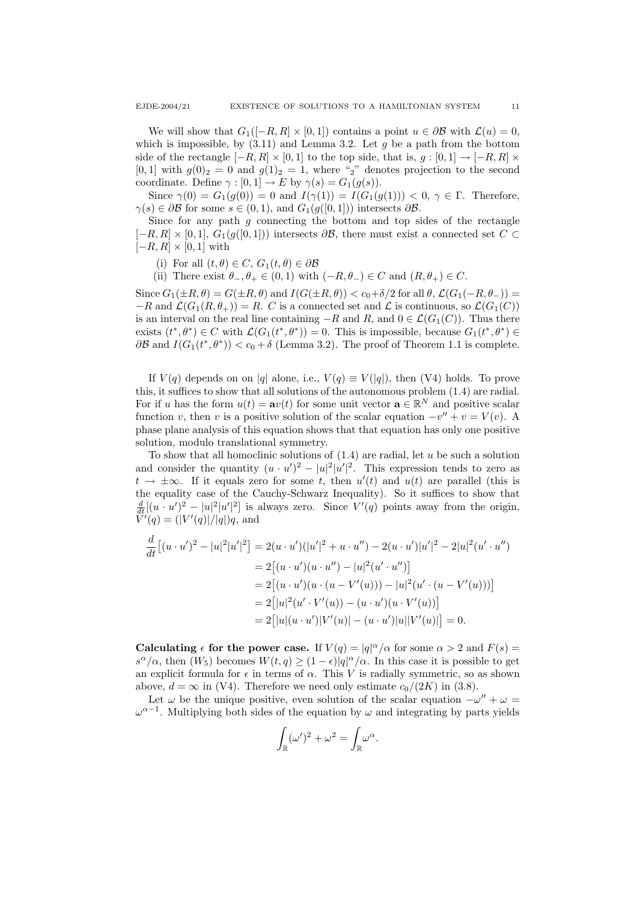We will show that  $G_1([-R, R] \times [0, 1])$  contains a point  $u \in \partial \mathcal{B}$  with  $\mathcal{L}(u) = 0$ , which is impossible, by  $(3.11)$  and Lemma 3.2. Let g be a path from the bottom side of the rectangle  $[-R, R] \times [0, 1]$  to the top side, that is,  $g : [0, 1] \to [-R, R] \times$  $[0, 1]$  with  $g(0)_2 = 0$  and  $g(1)_2 = 1$ , where "2" denotes projection to the second coordinate. Define  $\gamma : [0, 1] \to E$  by  $\gamma(s) = G_1(g(s))$ .

Since  $\gamma(0) = G_1(g(0)) = 0$  and  $I(\gamma(1)) = I(G_1(g(1))) < 0, \gamma \in \Gamma$ . Therefore,  $\gamma(s) \in \partial \mathcal{B}$  for some  $s \in (0,1)$ , and  $G_1(g([0,1]))$  intersects  $\partial \mathcal{B}$ .

Since for any path  $g$  connecting the bottom and top sides of the rectangle  $[-R, R] \times [0, 1], G_1(g([0, 1]))$  intersects  $\partial \mathcal{B}$ , there must exist a connected set  $C \subset$  $[-R, R] \times [0, 1]$  with

- (i) For all  $(t, \theta) \in C$ ,  $G_1(t, \theta) \in \partial \mathcal{B}$
- (ii) There exist  $\theta_-, \theta_+ \in (0,1)$  with  $(-R, \theta_-) \in C$  and  $(R, \theta_+) \in C$ .

Since  $G_1(\pm R, \theta) = G(\pm R, \theta)$  and  $I(G(\pm R, \theta)) < c_0+\delta/2$  for all  $\theta$ ,  $\mathcal{L}(G_1(-R, \theta_-)) =$  $-R$  and  $\mathcal{L}(G_1(R, \theta_+)) = R$ . C is a connected set and  $\mathcal{L}$  is continuous, so  $\mathcal{L}(G_1(C))$ is an interval on the real line containing  $-R$  and  $R$ , and  $0 \in \mathcal{L}(G_1(C))$ . Thus there exists  $(t^*,\theta^*) \in C$  with  $\mathcal{L}(G_1(t^*,\theta^*))=0$ . This is impossible, because  $G_1(t^*,\theta^*) \in C$  $\partial \mathcal{B}$  and  $I(G_1(t^*, \theta^*)) < c_0 + \delta$  (Lemma 3.2). The proof of Theorem 1.1 is complete.

If  $V(q)$  depends on on |q| alone, i.e.,  $V(q) \equiv V(|q|)$ , then (V4) holds. To prove this, it suffices to show that all solutions of the autonomous problem (1.4) are radial. For if u has the form  $u(t) = \mathbf{a}v(t)$  for some unit vector  $\mathbf{a} \in \mathbb{R}^N$  and positive scalar function v, then v is a positive solution of the scalar equation  $-v'' + v = V(v)$ . A phase plane analysis of this equation shows that that equation has only one positive solution, modulo translational symmetry.

To show that all homoclinic solutions of  $(1.4)$  are radial, let u be such a solution and consider the quantity  $(u \cdot u')^2 - |u|^2 |u'|^2$ . This expression tends to zero as  $t \to \pm \infty$ . If it equals zero for some t, then  $u'(t)$  and  $u(t)$  are parallel (this is the equality case of the Cauchy-Schwarz Inequality). So it suffices to show that  $\frac{d}{dt}[(u \cdot u')^2 - |u|^2|u'|^2]$  is always zero. Since  $V'(q)$  points away from the origin,  $\tilde{V}'(q) = (|V'(q)|/|q|)q$ , and

$$
\frac{d}{dt} [(u \cdot u')^2 - |u|^2 |u'|^2] = 2(u \cdot u') (|u'|^2 + u \cdot u'') - 2(u \cdot u') |u'|^2 - 2|u|^2 (u' \cdot u'')
$$
  
\n
$$
= 2 [(u \cdot u')(u \cdot u'') - |u|^2 (u' \cdot u'')]
$$
  
\n
$$
= 2 [(u \cdot u')(u \cdot (u - V'(u))) - |u|^2 (u' \cdot (u - V'(u)))]
$$
  
\n
$$
= 2 [|u|^2 (u' \cdot V'(u)) - (u \cdot u')(u \cdot V'(u))]
$$
  
\n
$$
= 2 [|u|(u \cdot u')|V'(u)| - (u \cdot u')|u||V'(u)|] = 0.
$$

Calculating  $\epsilon$  for the power case. If  $V(q) = |q|^{\alpha}/\alpha$  for some  $\alpha > 2$  and  $F(s) =$  $s^{\alpha}/\alpha$ , then  $(W_5)$  becomes  $W(t,q) \geq (1-\epsilon)|q|^{\alpha}/\alpha$ . In this case it is possible to get an explicit formula for  $\epsilon$  in terms of  $\alpha$ . This V is radially symmetric, so as shown above,  $d = \infty$  in (V4). Therefore we need only estimate  $c_0/(2K)$  in (3.8).

Let  $\omega$  be the unique positive, even solution of the scalar equation  $-\omega'' + \omega =$  $\omega^{\alpha-1}$ . Multiplying both sides of the equation by  $\omega$  and integrating by parts yields

$$
\int_{\mathbb{R}} (\omega')^2 + \omega^2 = \int_{\mathbb{R}} \omega^{\alpha}.
$$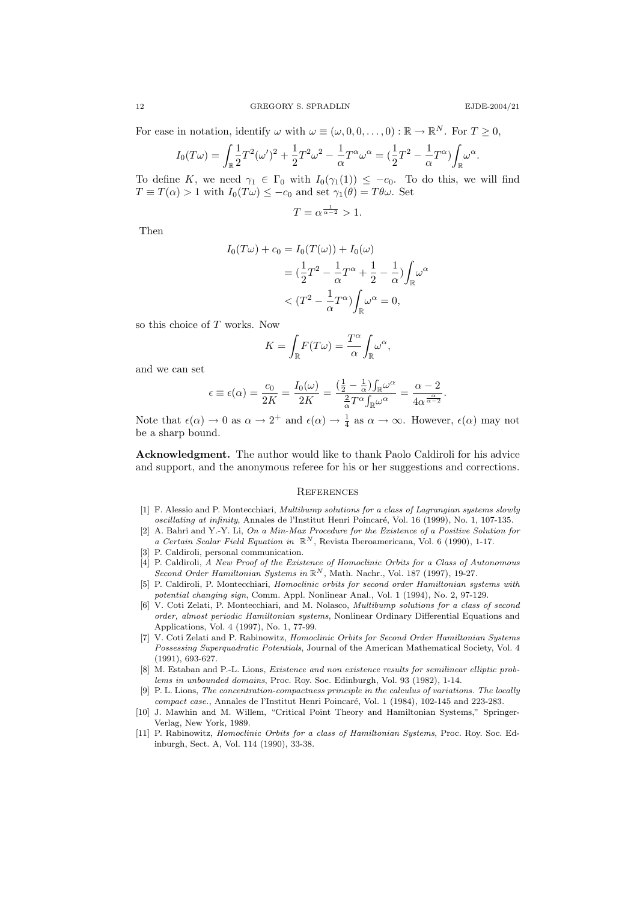.

For ease in notation, identify  $\omega$  with  $\omega \equiv (\omega, 0, 0, \dots, 0) : \mathbb{R} \to \mathbb{R}^N$ . For  $T \geq 0$ ,

$$
I_0(T\omega) = \int_{\mathbb{R}} \frac{1}{2} T^2 (\omega')^2 + \frac{1}{2} T^2 \omega^2 - \frac{1}{\alpha} T^{\alpha} \omega^{\alpha} = \left(\frac{1}{2} T^2 - \frac{1}{\alpha} T^{\alpha}\right) \int_{\mathbb{R}} \omega^{\alpha}.
$$

To define K, we need  $\gamma_1 \in \Gamma_0$  with  $I_0(\gamma_1(1)) \leq -c_0$ . To do this, we will find  $T \equiv T(\alpha) > 1$  with  $I_0(T\omega) \le -c_0$  and set  $\gamma_1(\theta) = T\theta\omega$ . Set

$$
T = \alpha^{\frac{1}{\alpha - 2}} > 1.
$$

Then

$$
I_0(T\omega) + c_0 = I_0(T(\omega)) + I_0(\omega)
$$
  
=  $(\frac{1}{2}T^2 - \frac{1}{\alpha}T^{\alpha} + \frac{1}{2} - \frac{1}{\alpha})\int_{\mathbb{R}} \omega^{\alpha}$   
<  $(T^2 - \frac{1}{\alpha}T^{\alpha})\int_{\mathbb{R}} \omega^{\alpha} = 0,$ 

so this choice of T works. Now

$$
K = \int_{\mathbb{R}} F(T\omega) = \frac{T^{\alpha}}{\alpha} \int_{\mathbb{R}} \omega^{\alpha},
$$

and we can set

$$
\epsilon \equiv \epsilon(\alpha) = \frac{c_0}{2K} = \frac{I_0(\omega)}{2K} = \frac{\left(\frac{1}{2} - \frac{1}{\alpha}\right)\int_{\mathbb{R}} \omega^{\alpha}}{\frac{2}{\alpha}T^{\alpha}\int_{\mathbb{R}} \omega^{\alpha}} = \frac{\alpha - 2}{4\alpha^{\frac{\alpha}{\alpha - 2}}}
$$

Note that  $\epsilon(\alpha) \to 0$  as  $\alpha \to 2^+$  and  $\epsilon(\alpha) \to \frac{1}{4}$  as  $\alpha \to \infty$ . However,  $\epsilon(\alpha)$  may not be a sharp bound.

Acknowledgment. The author would like to thank Paolo Caldiroli for his advice and support, and the anonymous referee for his or her suggestions and corrections.

#### **REFERENCES**

- [1] F. Alessio and P. Montecchiari, Multibump solutions for a class of Lagrangian systems slowly oscillating at infinity, Annales de l'Institut Henri Poincaré, Vol. 16 (1999), No. 1, 107-135.
- [2] A. Bahri and Y.-Y. Li, On a Min-Max Procedure for the Existence of a Positive Solution for a Certain Scalar Field Equation in  $\mathbb{R}^N$ , Revista Iberoamericana, Vol. 6 (1990), 1-17.
- P. Caldiroli, personal communication.
- [4] P. Caldiroli, A New Proof of the Existence of Homoclinic Orbits for a Class of Autonomous Second Order Hamiltonian Systems in  $\mathbb{R}^N$ , Math. Nachr., Vol. 187 (1997), 19-27.
- [5] P. Caldiroli, P. Montecchiari, Homoclinic orbits for second order Hamiltonian systems with potential changing sign, Comm. Appl. Nonlinear Anal., Vol. 1 (1994), No. 2, 97-129.
- [6] V. Coti Zelati, P. Montecchiari, and M. Nolasco, *Multibump solutions for a class of second* order, almost periodic Hamiltonian systems, Nonlinear Ordinary Differential Equations and Applications, Vol. 4 (1997), No. 1, 77-99.
- [7] V. Coti Zelati and P. Rabinowitz, Homoclinic Orbits for Second Order Hamiltonian Systems Possessing Superquadratic Potentials, Journal of the American Mathematical Society, Vol. 4 (1991), 693-627.
- [8] M. Estaban and P.-L. Lions, Existence and non existence results for semilinear elliptic problems in unbounded domains, Proc. Roy. Soc. Edinburgh, Vol. 93 (1982), 1-14.
- [9] P. L. Lions, The concentration-compactness principle in the calculus of variations. The locally compact case., Annales de l'Institut Henri Poincaré, Vol. 1 (1984), 102-145 and 223-283.
- [10] J. Mawhin and M. Willem, "Critical Point Theory and Hamiltonian Systems," Springer-Verlag, New York, 1989.
- [11] P. Rabinowitz, *Homoclinic Orbits for a class of Hamiltonian Systems*, Proc. Roy. Soc. Edinburgh, Sect. A, Vol. 114 (1990), 33-38.